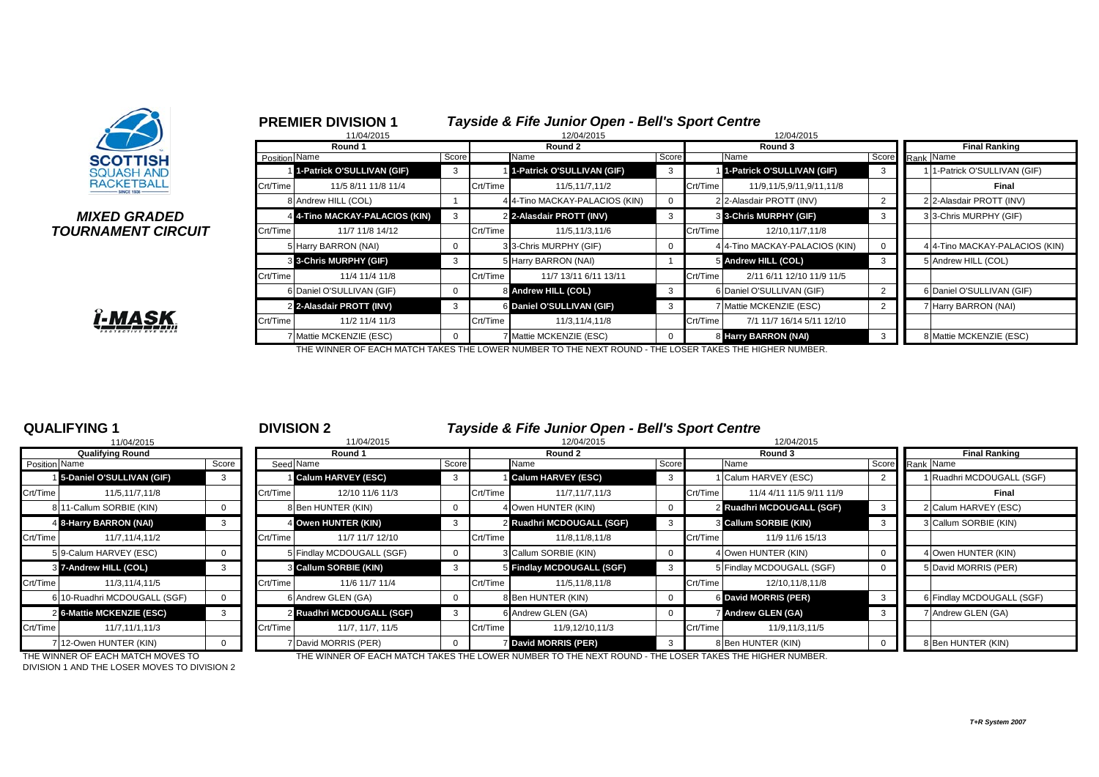



7 Mattie MCKENZIE (ESC) 0 7 Mattie MCKENZIE (ESC) 0 8 **Harry BARRON (NAI)** 3 8 8 Mattie MCKENZIE (ESC)



THE WINNER OF EACH MATCH TAKES THE LOWER NUMBER TO THE NEXT ROUND - THE LOSER TAKES THE HIGHER NUMBER.

Crt/Time 11/2 11/4 11/3 Crt/Time 11/3,11/4,11/8 Crt/Time 7/1 11/7 16/14 5/11 12/10

|                | 11/04/2015                   |          |
|----------------|------------------------------|----------|
|                | <b>Qualifying Round</b>      |          |
| Position Name  |                              | Score    |
| 1 <sup>1</sup> | 5-Daniel O'SULLIVAN (GIF)    | 3        |
| Crt/Time       | 11/5,11/7,11/8               |          |
|                | 811-Callum SORBIE (KIN)      | 0        |
| $\overline{4}$ | 8-Harry BARRON (NAI)         | 3        |
| Crt/Time       | 11/7.11/4.11/2               |          |
|                | 5 9-Calum HARVEY (ESC)       | $\Omega$ |
| $\overline{3}$ | 7-Andrew HILL (COL)          | 3        |
| Crt/Time       | 11/3,11/4,11/5               |          |
|                | 6 10-Ruadhri MCDOUGALL (SGF) | ŋ        |
| $\overline{2}$ | 6-Mattie MCKENZIE (ESC)      | 3        |
| Crt/Time       | 11/7,11/1,11/3               |          |
|                | 712-Owen HUNTER (KIN)        | O        |

**QUALIFYING 1** <sup>1</sup> **DIVISION 2** *Tayside & Fife Junior Open - Bell's Sport Centre*

| 11/04/2015<br>11/04/2015     |          |          |                  |                                                                                                                                                                                                                                  | 12/04/2015<br>12/04/2015 |                               |                                                                                                                                                                                                                      |  |                                                       |                                                                                                                                                                                                                |                           |
|------------------------------|----------|----------|------------------|----------------------------------------------------------------------------------------------------------------------------------------------------------------------------------------------------------------------------------|--------------------------|-------------------------------|----------------------------------------------------------------------------------------------------------------------------------------------------------------------------------------------------------------------|--|-------------------------------------------------------|----------------------------------------------------------------------------------------------------------------------------------------------------------------------------------------------------------------|---------------------------|
| <b>Qualifying Round</b>      |          |          | Round 1          |                                                                                                                                                                                                                                  |                          | Round 2                       |                                                                                                                                                                                                                      |  | Round 3                                               |                                                                                                                                                                                                                | <b>Final Ranking</b>      |
| Position Name                | Score    |          |                  |                                                                                                                                                                                                                                  |                          |                               |                                                                                                                                                                                                                      |  | Name                                                  | Score                                                                                                                                                                                                          | Rank Name                 |
| 5-Daniel O'SULLIVAN (GIF)    | 3        |          |                  |                                                                                                                                                                                                                                  |                          |                               |                                                                                                                                                                                                                      |  |                                                       |                                                                                                                                                                                                                | 1 Ruadhri MCDOUGALL (SGF) |
| 11/5,11/7,11/8               |          |          | 12/10 11/6 11/3  |                                                                                                                                                                                                                                  | Crt/Time                 | 11/7,11/7,11/3                |                                                                                                                                                                                                                      |  | 11/4 4/11 11/5 9/11 11/9                              |                                                                                                                                                                                                                | Final                     |
| 8 11-Callum SORBIE (KIN)     |          |          |                  |                                                                                                                                                                                                                                  |                          |                               |                                                                                                                                                                                                                      |  |                                                       |                                                                                                                                                                                                                | 2 Calum HARVEY (ESC)      |
| 4 8-Harry BARRON (NAI)       | 3        |          |                  |                                                                                                                                                                                                                                  |                          |                               |                                                                                                                                                                                                                      |  |                                                       |                                                                                                                                                                                                                | 3 Callum SORBIE (KIN)     |
| 11/7,11/4,11/2               |          | Crt/Time | 11/7 11/7 12/10  |                                                                                                                                                                                                                                  |                          | 11/8,11/8,11/8                |                                                                                                                                                                                                                      |  | 11/9 11/6 15/13                                       |                                                                                                                                                                                                                |                           |
| 5 9-Calum HARVEY (ESC)       |          |          |                  |                                                                                                                                                                                                                                  |                          |                               |                                                                                                                                                                                                                      |  |                                                       |                                                                                                                                                                                                                | 4 Owen HUNTER (KIN)       |
| 3 7-Andrew HILL (COL)        |          |          |                  |                                                                                                                                                                                                                                  |                          |                               |                                                                                                                                                                                                                      |  |                                                       |                                                                                                                                                                                                                | 5 David MORRIS (PER)      |
| 11/3.11/4.11/5               |          | Crt/Time | 11/6 11/7 11/4   |                                                                                                                                                                                                                                  | Crt/Time                 | 11/5,11/8,11/8                |                                                                                                                                                                                                                      |  | 12/10.11/8.11/8                                       |                                                                                                                                                                                                                |                           |
| 6 10-Ruadhri MCDOUGALL (SGF) | $\Omega$ |          |                  |                                                                                                                                                                                                                                  |                          |                               |                                                                                                                                                                                                                      |  |                                                       |                                                                                                                                                                                                                | 6 Findlay MCDOUGALL (SGF) |
| 2 6-Mattie MCKENZIE (ESC)    | 3        |          |                  | $\mathbf{B}$                                                                                                                                                                                                                     |                          |                               |                                                                                                                                                                                                                      |  |                                                       |                                                                                                                                                                                                                | 7 Andrew GLEN (GA)        |
| 11/7,11/1,11/3               |          | Crt/Time | 11/7, 11/7, 11/5 |                                                                                                                                                                                                                                  |                          | 11/9,12/10,11/3               |                                                                                                                                                                                                                      |  | 11/9,11/3,11/5                                        |                                                                                                                                                                                                                |                           |
| 712-Owen HUNTER (KIN)        | $\Omega$ |          |                  |                                                                                                                                                                                                                                  |                          |                               |                                                                                                                                                                                                                      |  |                                                       |                                                                                                                                                                                                                | 8 Ben HUNTER (KIN)        |
|                              |          |          |                  | Seed Name<br><b>Calum HARVEY (ESC)</b><br>Crt/Time<br>8 Ben HUNTER (KIN)<br>4 Owen HUNTER (KIN)<br>5 Findlay MCDOUGALL (SGF)<br>3 Callum SORBIE (KIN)<br>6 Andrew GLEN (GA)<br>2 Ruadhri MCDOUGALL (SGF)<br>7 David MORRIS (PER) |                          | Score<br>Crt/Time<br>Crt/Time | Name<br><b>Calum HARVEY (ESC)</b><br>4 Owen HUNTER (KIN)<br>2 Ruadhri MCDOUGALL (SGF)<br>3 Callum SORBIE (KIN)<br>5 Findlay MCDOUGALL (SGF)<br>8 Ben HUNTER (KIN)<br>6 Andrew GLEN (GA)<br><b>David MORRIS (PER)</b> |  | Score<br>Crt/Time<br>Crt/Time<br>Crt/Time<br>Crt/Time | Calum HARVEY (ESC)<br>2 Ruadhri MCDOUGALL (SGF)<br><b>8 Callum SORBIE (KIN)</b><br>4 Owen HUNTER (KIN)<br>5 Findlay MCDOUGALL (SGF)<br>6 David MORRIS (PER)<br><b>7 Andrew GLEN (GA)</b><br>8 Ben HUNTER (KIN) |                           |

DIVISION 1 AND THE LOSER MOVES TO DIVISION 2

THE WINNER OF EACH MATCH MOVES TO THE WINNER OF EACH MATCH TAKES THE LOWER NUMBER TO THE NEXT ROUND - THE LOSER TAKES THE HIGHER NUMBER.